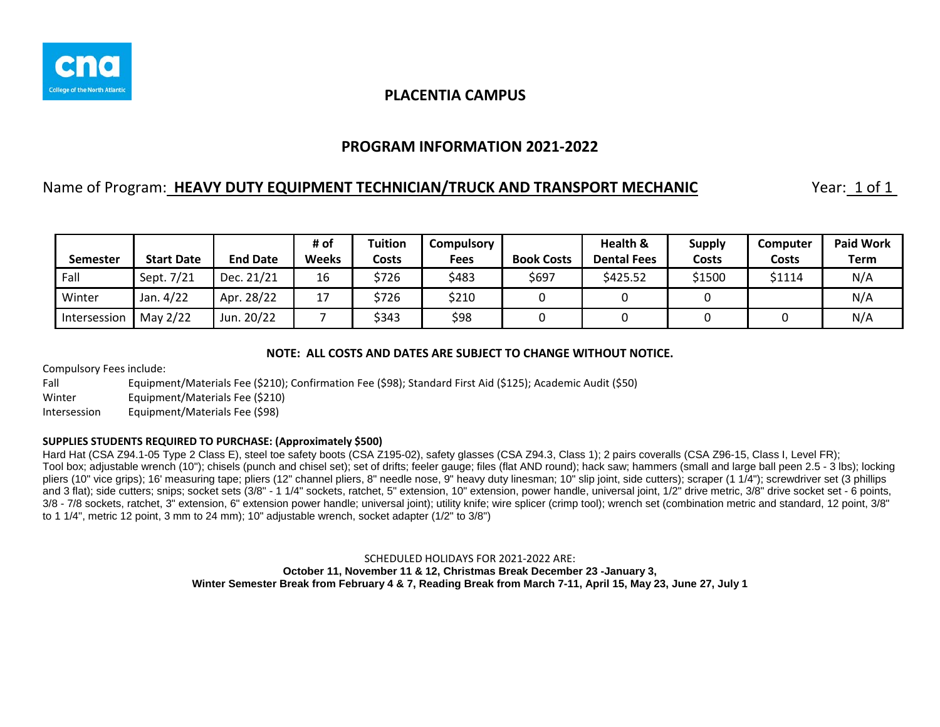

## **PROGRAM INFORMATION 2021-2022**

### Name of Program: **HEAVY DUTY EQUIPMENT TECHNICIAN/TRUCK AND TRANSPORT MECHANIC** Year: 1 of 1

| <b>Semester</b> | <b>Start Date</b> | <b>End Date</b> | # of<br><b>Weeks</b> | <b>Tuition</b><br><b>Costs</b> | Compulsory<br><b>Fees</b> | <b>Book Costs</b> | Health &<br><b>Dental Fees</b> | <b>Supply</b><br>Costs | <b>Computer</b><br>Costs | <b>Paid Work</b><br><b>Term</b> |
|-----------------|-------------------|-----------------|----------------------|--------------------------------|---------------------------|-------------------|--------------------------------|------------------------|--------------------------|---------------------------------|
| Fall            | Sept. 7/21        | Dec. 21/21      | 16                   | \$726                          | \$483                     | \$697             | \$425.52                       | \$1500                 | \$1114                   | N/A                             |
| Winter          | Jan. 4/22         | Apr. 28/22      | 17                   | \$726                          | \$210                     |                   |                                |                        |                          | N/A                             |
| Intersession    | May 2/22          | Jun. 20/22      |                      | \$343                          | \$98                      |                   |                                |                        |                          | N/A                             |

#### **NOTE: ALL COSTS AND DATES ARE SUBJECT TO CHANGE WITHOUT NOTICE.**

Compulsory Fees include:

Fall Equipment/Materials Fee (\$210); Confirmation Fee (\$98); Standard First Aid (\$125); Academic Audit (\$50)

Winter Equipment/Materials Fee (\$210)

Intersession Equipment/Materials Fee (\$98)

#### **SUPPLIES STUDENTS REQUIRED TO PURCHASE: (Approximately \$500)**

Hard Hat (CSA Z94.1-05 Type 2 Class E), steel toe safety boots (CSA Z195-02), safety glasses (CSA Z94.3, Class 1); 2 pairs coveralls (CSA Z96-15, Class I, Level FR); Tool box; adjustable wrench (10"); chisels (punch and chisel set); set of drifts; feeler gauge; files (flat AND round); hack saw; hammers (small and large ball peen 2.5 - 3 lbs); locking pliers (10" vice grips); 16' measuring tape; pliers (12" channel pliers, 8" needle nose, 9" heavy duty linesman; 10" slip joint, side cutters); scraper (1 1/4"); screwdriver set (3 phillips and 3 flat); side cutters; snips; socket sets (3/8" - 1 1/4" sockets, ratchet, 5" extension, 10" extension, power handle, universal joint, 1/2" drive metric, 3/8" drive socket set - 6 points, 3/8 - 7/8 sockets, ratchet, 3" extension, 6" extension power handle; universal joint); utility knife; wire splicer (crimp tool); wrench set (combination metric and standard, 12 point, 3/8" to 1 1/4", metric 12 point, 3 mm to 24 mm); 10" adjustable wrench, socket adapter (1/2" to 3/8")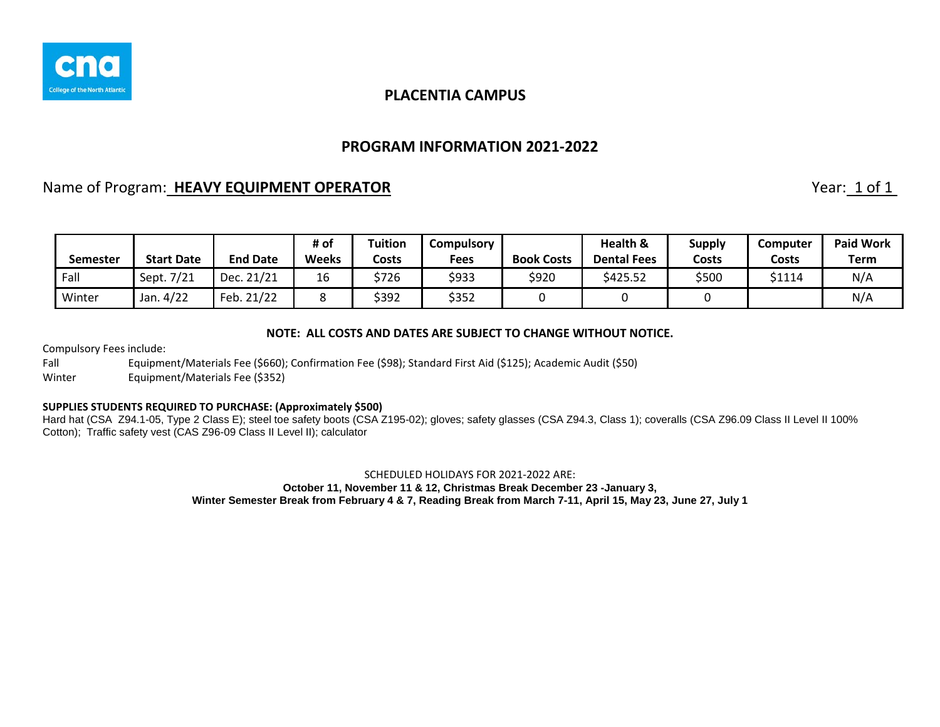

### **PROGRAM INFORMATION 2021-2022**

# Name of Program: **HEAVY EQUIPMENT OPERATOR Name of Program:** 1 of 1

| <b>Semester</b> | <b>Start Date</b> | <b>End Date</b> | # of<br>Weeks | Tuition<br>Costs | Compulsory<br>Fees | <b>Book Costs</b> | <b>Health &amp;</b><br><b>Dental Fees</b> | <b>Supply</b><br>Costs | Computer<br>Costs | <b>Paid Work</b><br><b>Term</b> |
|-----------------|-------------------|-----------------|---------------|------------------|--------------------|-------------------|-------------------------------------------|------------------------|-------------------|---------------------------------|
| Fall            | Sept. 7/21        | Dec. 21/21      | 16            | \$726            | \$933              | \$920             | \$425.52                                  | \$500                  | \$1114            | N/A                             |
| Winter          | Jan. 4/22         | Feb. 21/22      |               | \$392            | \$352              |                   |                                           |                        |                   | N/A                             |

#### **NOTE: ALL COSTS AND DATES ARE SUBJECT TO CHANGE WITHOUT NOTICE.**

Compulsory Fees include:

Fall Equipment/Materials Fee (\$660); Confirmation Fee (\$98); Standard First Aid (\$125); Academic Audit (\$50)

Winter Equipment/Materials Fee (\$352)

#### **SUPPLIES STUDENTS REQUIRED TO PURCHASE: (Approximately \$500)**

Hard hat (CSA Z94.1-05, Type 2 Class E); steel toe safety boots (CSA Z195-02); gloves; safety glasses (CSA Z94.3, Class 1); coveralls (CSA Z96.09 Class II Level II 100% Cotton); Traffic safety vest (CAS Z96-09 Class II Level II); calculator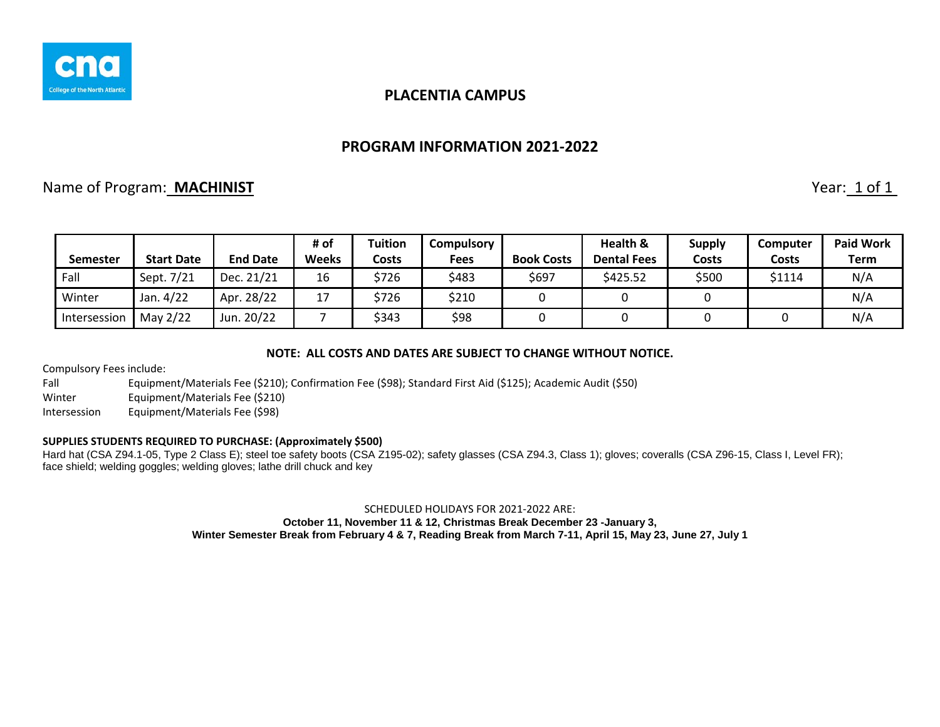

#### **PROGRAM INFORMATION 2021-2022**

## Name of Program: **MACHINIST** Year: 1 of 1

|              |                   |                 | # of  | Tuition | Compulsory  |                   | Health &           | <b>Supply</b> | Computer     | <b>Paid Work</b> |
|--------------|-------------------|-----------------|-------|---------|-------------|-------------------|--------------------|---------------|--------------|------------------|
| Semester     | <b>Start Date</b> | <b>End Date</b> | Weeks | Costs   | <b>Fees</b> | <b>Book Costs</b> | <b>Dental Fees</b> | Costs         | <b>Costs</b> | <b>Term</b>      |
| Fall         | Sept. 7/21        | Dec. 21/21      | 16    | \$726   | \$483       | \$697             | \$425.52           | \$500         | \$1114       | N/A              |
| Winter       | Jan. 4/22         | Apr. 28/22      | 17    | \$726   | \$210       |                   |                    |               |              | N/A              |
| Intersession | May 2/22          | Jun. 20/22      |       | \$343   | \$98        |                   |                    |               |              | N/A              |

#### **NOTE: ALL COSTS AND DATES ARE SUBJECT TO CHANGE WITHOUT NOTICE.**

Compulsory Fees include:

Fall Equipment/Materials Fee (\$210); Confirmation Fee (\$98); Standard First Aid (\$125); Academic Audit (\$50)

Winter Equipment/Materials Fee (\$210)

Intersession Equipment/Materials Fee (\$98)

#### **SUPPLIES STUDENTS REQUIRED TO PURCHASE: (Approximately \$500)**

Hard hat (CSA Z94.1-05, Type 2 Class E); steel toe safety boots (CSA Z195-02); safety glasses (CSA Z94.3, Class 1); gloves; coveralls (CSA Z96-15, Class I, Level FR); face shield; welding goggles; welding gloves; lathe drill chuck and key